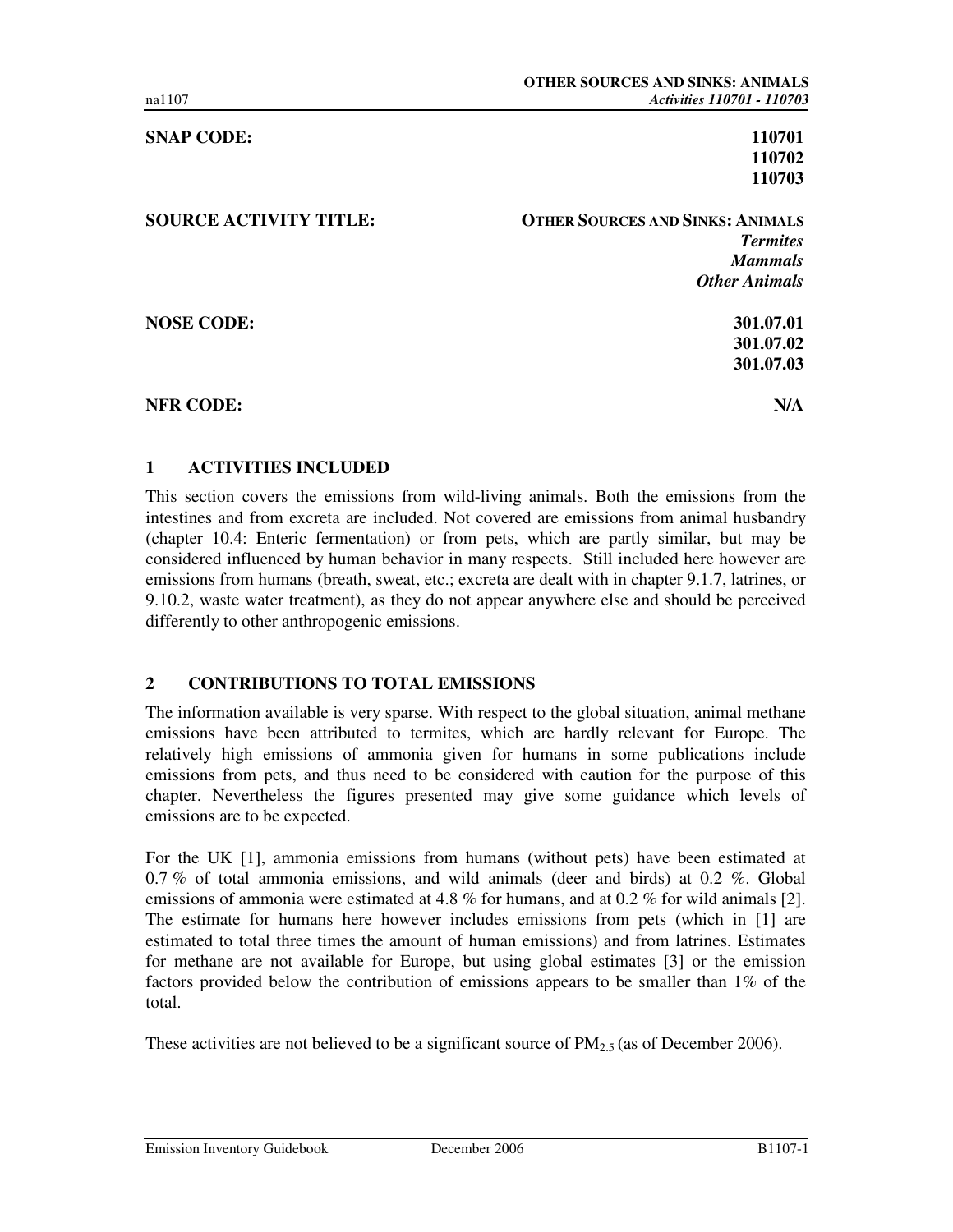**SNAP CODE:** 110701

**110702 110703** 

**SOURCE ACTIVITY TITLE: OTHER SOURCES AND SINKS: ANIMALS** *Termites Mammals Other Animals* 

**NOSE CODE:** 301.07.01

**301.07.02 301.07.03** 

**NFR CODE:** N/A

#### **1 ACTIVITIES INCLUDED**

This section covers the emissions from wild-living animals. Both the emissions from the intestines and from excreta are included. Not covered are emissions from animal husbandry (chapter 10.4: Enteric fermentation) or from pets, which are partly similar, but may be considered influenced by human behavior in many respects. Still included here however are emissions from humans (breath, sweat, etc.; excreta are dealt with in chapter 9.1.7, latrines, or 9.10.2, waste water treatment), as they do not appear anywhere else and should be perceived differently to other anthropogenic emissions.

#### **2 CONTRIBUTIONS TO TOTAL EMISSIONS**

The information available is very sparse. With respect to the global situation, animal methane emissions have been attributed to termites, which are hardly relevant for Europe. The relatively high emissions of ammonia given for humans in some publications include emissions from pets, and thus need to be considered with caution for the purpose of this chapter. Nevertheless the figures presented may give some guidance which levels of emissions are to be expected.

For the UK [1], ammonia emissions from humans (without pets) have been estimated at 0.7 % of total ammonia emissions, and wild animals (deer and birds) at 0.2 %. Global emissions of ammonia were estimated at 4.8 % for humans, and at 0.2 % for wild animals [2]. The estimate for humans here however includes emissions from pets (which in [1] are estimated to total three times the amount of human emissions) and from latrines. Estimates for methane are not available for Europe, but using global estimates [3] or the emission factors provided below the contribution of emissions appears to be smaller than 1% of the total.

These activities are not believed to be a significant source of  $PM_{2.5}$  (as of December 2006).

Emission Inventory Guidebook December 2006 B1107-1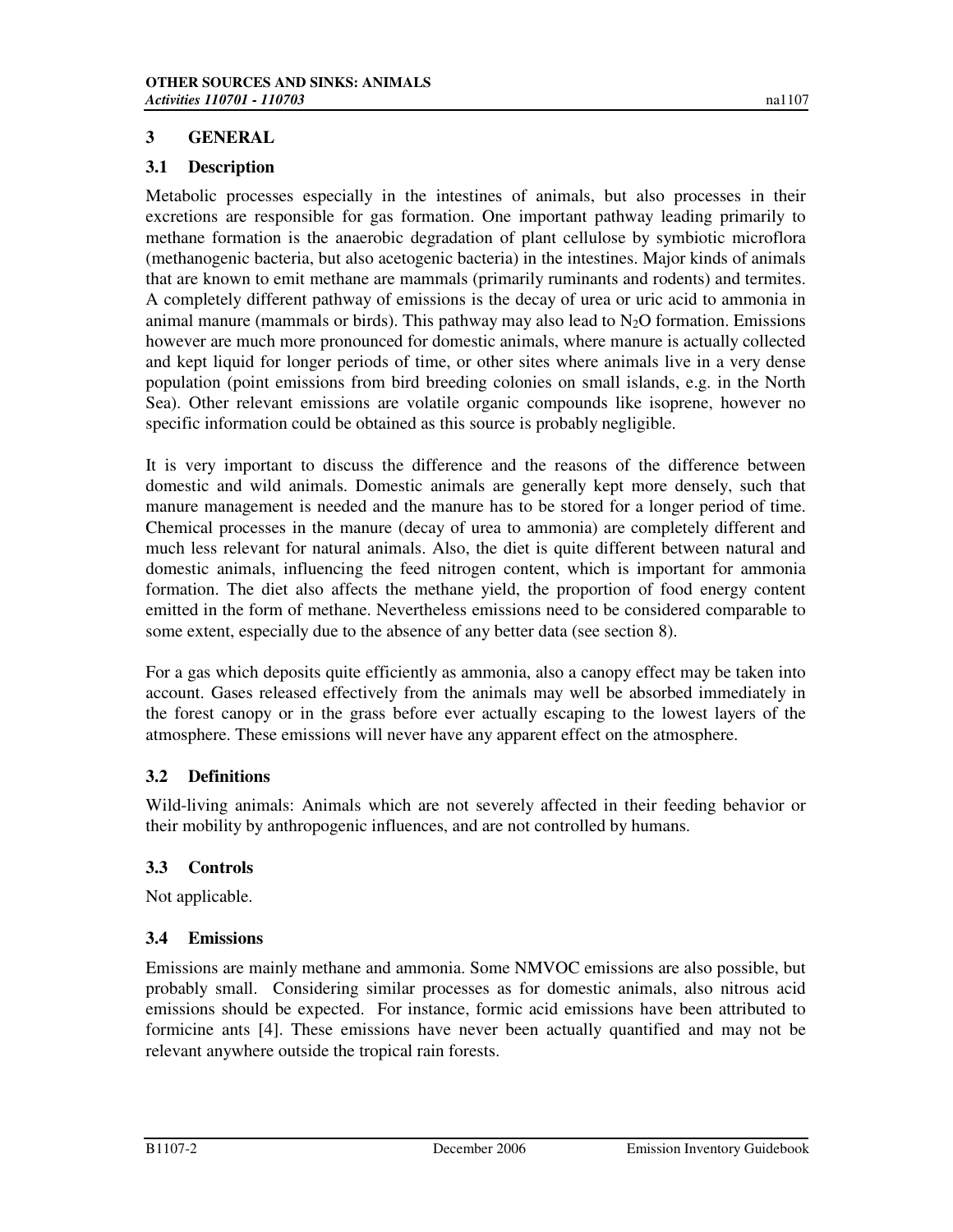### **3 GENERAL**

#### **3.1 Description**

Metabolic processes especially in the intestines of animals, but also processes in their excretions are responsible for gas formation. One important pathway leading primarily to methane formation is the anaerobic degradation of plant cellulose by symbiotic microflora (methanogenic bacteria, but also acetogenic bacteria) in the intestines. Major kinds of animals that are known to emit methane are mammals (primarily ruminants and rodents) and termites. A completely different pathway of emissions is the decay of urea or uric acid to ammonia in animal manure (mammals or birds). This pathway may also lead to  $N_2O$  formation. Emissions however are much more pronounced for domestic animals, where manure is actually collected and kept liquid for longer periods of time, or other sites where animals live in a very dense population (point emissions from bird breeding colonies on small islands, e.g. in the North Sea). Other relevant emissions are volatile organic compounds like isoprene, however no specific information could be obtained as this source is probably negligible.

It is very important to discuss the difference and the reasons of the difference between domestic and wild animals. Domestic animals are generally kept more densely, such that manure management is needed and the manure has to be stored for a longer period of time. Chemical processes in the manure (decay of urea to ammonia) are completely different and much less relevant for natural animals. Also, the diet is quite different between natural and domestic animals, influencing the feed nitrogen content, which is important for ammonia formation. The diet also affects the methane yield, the proportion of food energy content emitted in the form of methane. Nevertheless emissions need to be considered comparable to some extent, especially due to the absence of any better data (see section 8).

For a gas which deposits quite efficiently as ammonia, also a canopy effect may be taken into account. Gases released effectively from the animals may well be absorbed immediately in the forest canopy or in the grass before ever actually escaping to the lowest layers of the atmosphere. These emissions will never have any apparent effect on the atmosphere.

### **3.2 Definitions**

Wild-living animals: Animals which are not severely affected in their feeding behavior or their mobility by anthropogenic influences, and are not controlled by humans.

### **3.3 Controls**

Not applicable.

#### **3.4 Emissions**

Emissions are mainly methane and ammonia. Some NMVOC emissions are also possible, but probably small. Considering similar processes as for domestic animals, also nitrous acid emissions should be expected. For instance, formic acid emissions have been attributed to formicine ants [4]. These emissions have never been actually quantified and may not be relevant anywhere outside the tropical rain forests.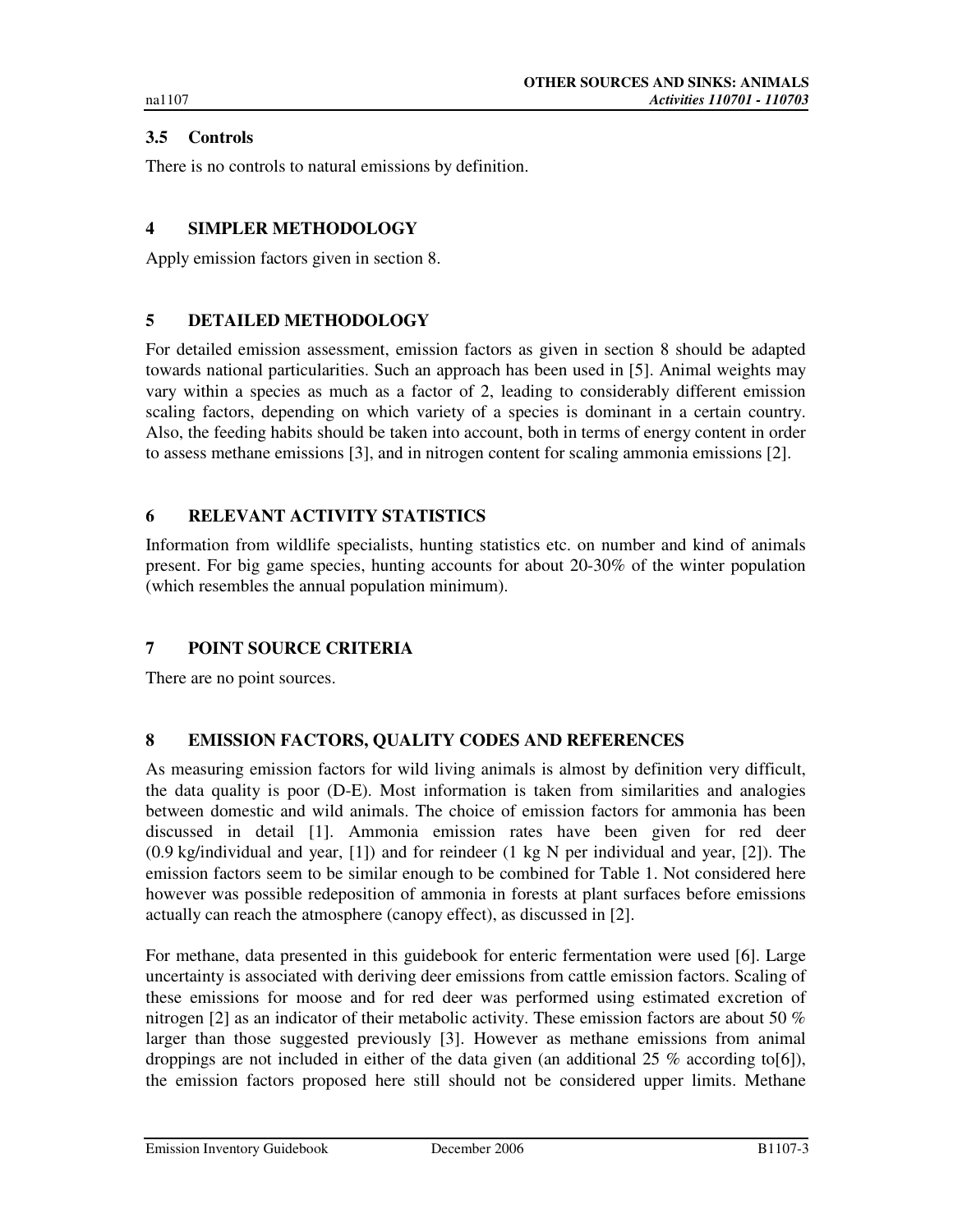# **3.5 Controls**

There is no controls to natural emissions by definition.

### **4 SIMPLER METHODOLOGY**

Apply emission factors given in section 8.

### **5 DETAILED METHODOLOGY**

For detailed emission assessment, emission factors as given in section 8 should be adapted towards national particularities. Such an approach has been used in [5]. Animal weights may vary within a species as much as a factor of 2, leading to considerably different emission scaling factors, depending on which variety of a species is dominant in a certain country. Also, the feeding habits should be taken into account, both in terms of energy content in order to assess methane emissions [3], and in nitrogen content for scaling ammonia emissions [2].

### **6 RELEVANT ACTIVITY STATISTICS**

Information from wildlife specialists, hunting statistics etc. on number and kind of animals present. For big game species, hunting accounts for about 20-30% of the winter population (which resembles the annual population minimum).

### **7 POINT SOURCE CRITERIA**

There are no point sources.

### **8 EMISSION FACTORS, QUALITY CODES AND REFERENCES**

As measuring emission factors for wild living animals is almost by definition very difficult, the data quality is poor (D-E). Most information is taken from similarities and analogies between domestic and wild animals. The choice of emission factors for ammonia has been discussed in detail [1]. Ammonia emission rates have been given for red deer (0.9 kg/individual and year, [1]) and for reindeer (1 kg N per individual and year, [2]). The emission factors seem to be similar enough to be combined for Table 1. Not considered here however was possible redeposition of ammonia in forests at plant surfaces before emissions actually can reach the atmosphere (canopy effect), as discussed in [2].

For methane, data presented in this guidebook for enteric fermentation were used [6]. Large uncertainty is associated with deriving deer emissions from cattle emission factors. Scaling of these emissions for moose and for red deer was performed using estimated excretion of nitrogen [2] as an indicator of their metabolic activity. These emission factors are about 50 % larger than those suggested previously [3]. However as methane emissions from animal droppings are not included in either of the data given (an additional 25 % according to[6]), the emission factors proposed here still should not be considered upper limits. Methane

Emission Inventory Guidebook December 2006 B1107-3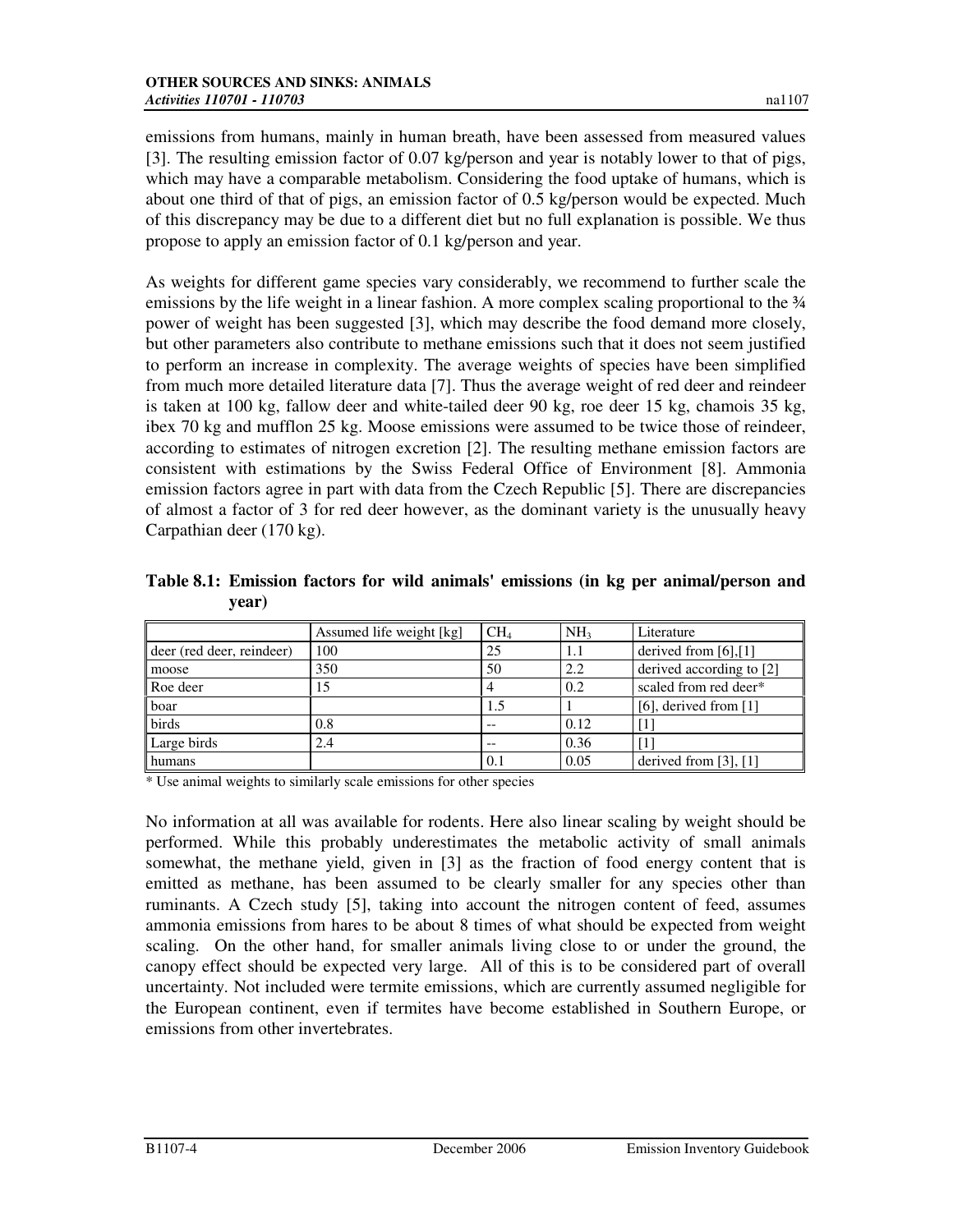emissions from humans, mainly in human breath, have been assessed from measured values [3]. The resulting emission factor of 0.07 kg/person and year is notably lower to that of pigs, which may have a comparable metabolism. Considering the food uptake of humans, which is about one third of that of pigs, an emission factor of 0.5 kg/person would be expected. Much of this discrepancy may be due to a different diet but no full explanation is possible. We thus propose to apply an emission factor of 0.1 kg/person and year.

As weights for different game species vary considerably, we recommend to further scale the emissions by the life weight in a linear fashion. A more complex scaling proportional to the  $\frac{3}{4}$ power of weight has been suggested [3], which may describe the food demand more closely, but other parameters also contribute to methane emissions such that it does not seem justified to perform an increase in complexity. The average weights of species have been simplified from much more detailed literature data [7]. Thus the average weight of red deer and reindeer is taken at 100 kg, fallow deer and white-tailed deer 90 kg, roe deer 15 kg, chamois 35 kg, ibex 70 kg and mufflon 25 kg. Moose emissions were assumed to be twice those of reindeer, according to estimates of nitrogen excretion [2]. The resulting methane emission factors are consistent with estimations by the Swiss Federal Office of Environment [8]. Ammonia emission factors agree in part with data from the Czech Republic [5]. There are discrepancies of almost a factor of 3 for red deer however, as the dominant variety is the unusually heavy Carpathian deer (170 kg).

**Table 8.1: Emission factors for wild animals' emissions (in kg per animal/person and year)** 

|                           | Assumed life weight [kg] | CH <sub>4</sub> | NH <sub>3</sub> | Literature                 |
|---------------------------|--------------------------|-----------------|-----------------|----------------------------|
| deer (red deer, reindeer) | 100                      | 25              | 1.1             | derived from $[6]$ , $[1]$ |
| moose                     | 350                      | 50              | 2.2             | derived according to [2]   |
| Roe deer                  | 15                       |                 | 0.2             | scaled from red deer*      |
| boar                      |                          | 1.5             |                 | [6], derived from $[1]$    |
| birds                     | 0.8                      |                 | 0.12            |                            |
| Large birds               | 2.4                      | --              | 0.36            |                            |
| <b>I</b> humans           |                          | 0.1             | 0.05            | derived from $[3]$ , $[1]$ |

\* Use animal weights to similarly scale emissions for other species

No information at all was available for rodents. Here also linear scaling by weight should be performed. While this probably underestimates the metabolic activity of small animals somewhat, the methane yield, given in [3] as the fraction of food energy content that is emitted as methane, has been assumed to be clearly smaller for any species other than ruminants. A Czech study [5], taking into account the nitrogen content of feed, assumes ammonia emissions from hares to be about 8 times of what should be expected from weight scaling. On the other hand, for smaller animals living close to or under the ground, the canopy effect should be expected very large. All of this is to be considered part of overall uncertainty. Not included were termite emissions, which are currently assumed negligible for the European continent, even if termites have become established in Southern Europe, or emissions from other invertebrates.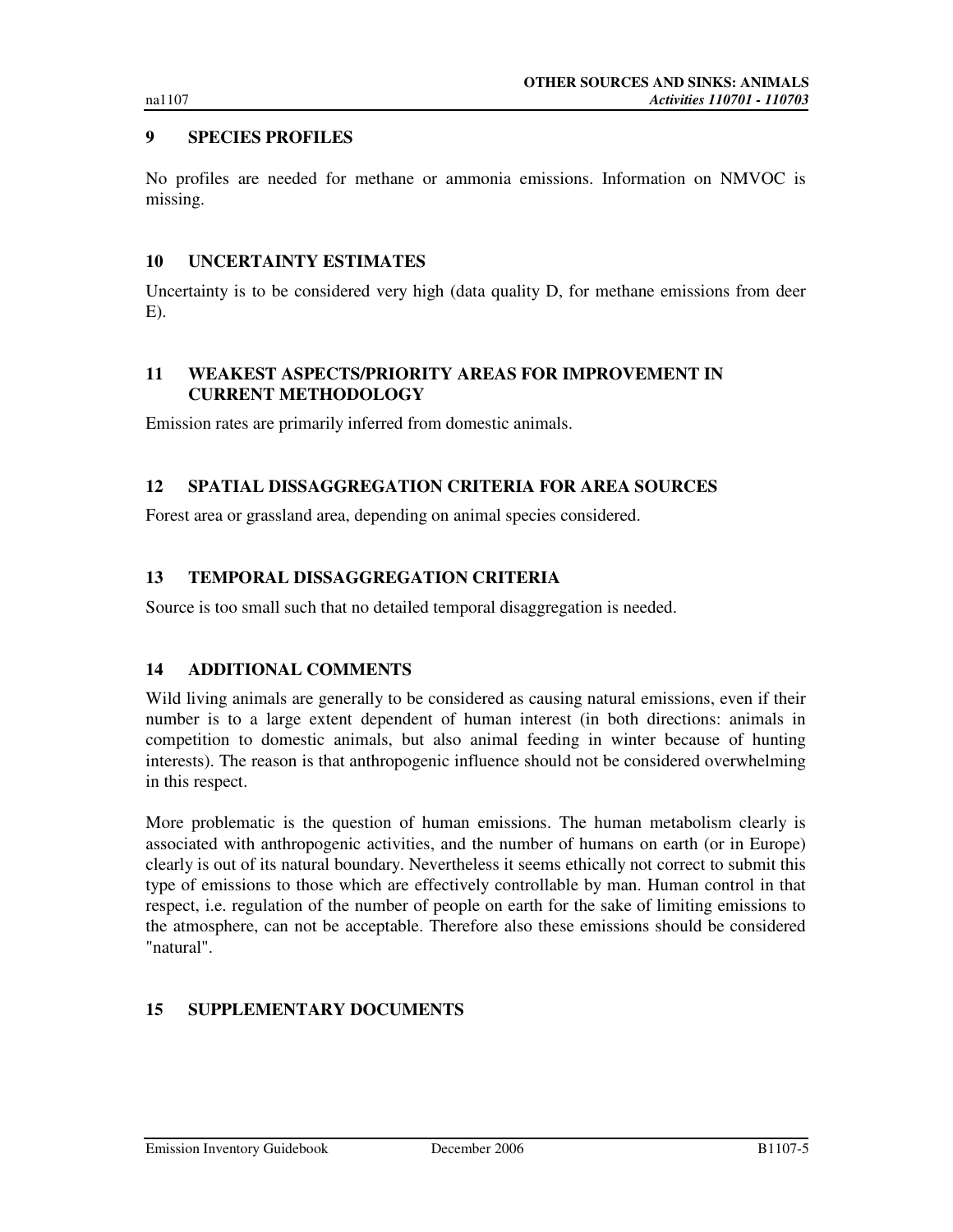### **9 SPECIES PROFILES**

No profiles are needed for methane or ammonia emissions. Information on NMVOC is missing.

#### **10 UNCERTAINTY ESTIMATES**

Uncertainty is to be considered very high (data quality D, for methane emissions from deer E).

### **11 WEAKEST ASPECTS/PRIORITY AREAS FOR IMPROVEMENT IN CURRENT METHODOLOGY**

Emission rates are primarily inferred from domestic animals.

### **12 SPATIAL DISSAGGREGATION CRITERIA FOR AREA SOURCES**

Forest area or grassland area, depending on animal species considered.

### **13 TEMPORAL DISSAGGREGATION CRITERIA**

Source is too small such that no detailed temporal disaggregation is needed.

### **14 ADDITIONAL COMMENTS**

Wild living animals are generally to be considered as causing natural emissions, even if their number is to a large extent dependent of human interest (in both directions: animals in competition to domestic animals, but also animal feeding in winter because of hunting interests). The reason is that anthropogenic influence should not be considered overwhelming in this respect.

More problematic is the question of human emissions. The human metabolism clearly is associated with anthropogenic activities, and the number of humans on earth (or in Europe) clearly is out of its natural boundary. Nevertheless it seems ethically not correct to submit this type of emissions to those which are effectively controllable by man. Human control in that respect, i.e. regulation of the number of people on earth for the sake of limiting emissions to the atmosphere, can not be acceptable. Therefore also these emissions should be considered "natural".

### **15 SUPPLEMENTARY DOCUMENTS**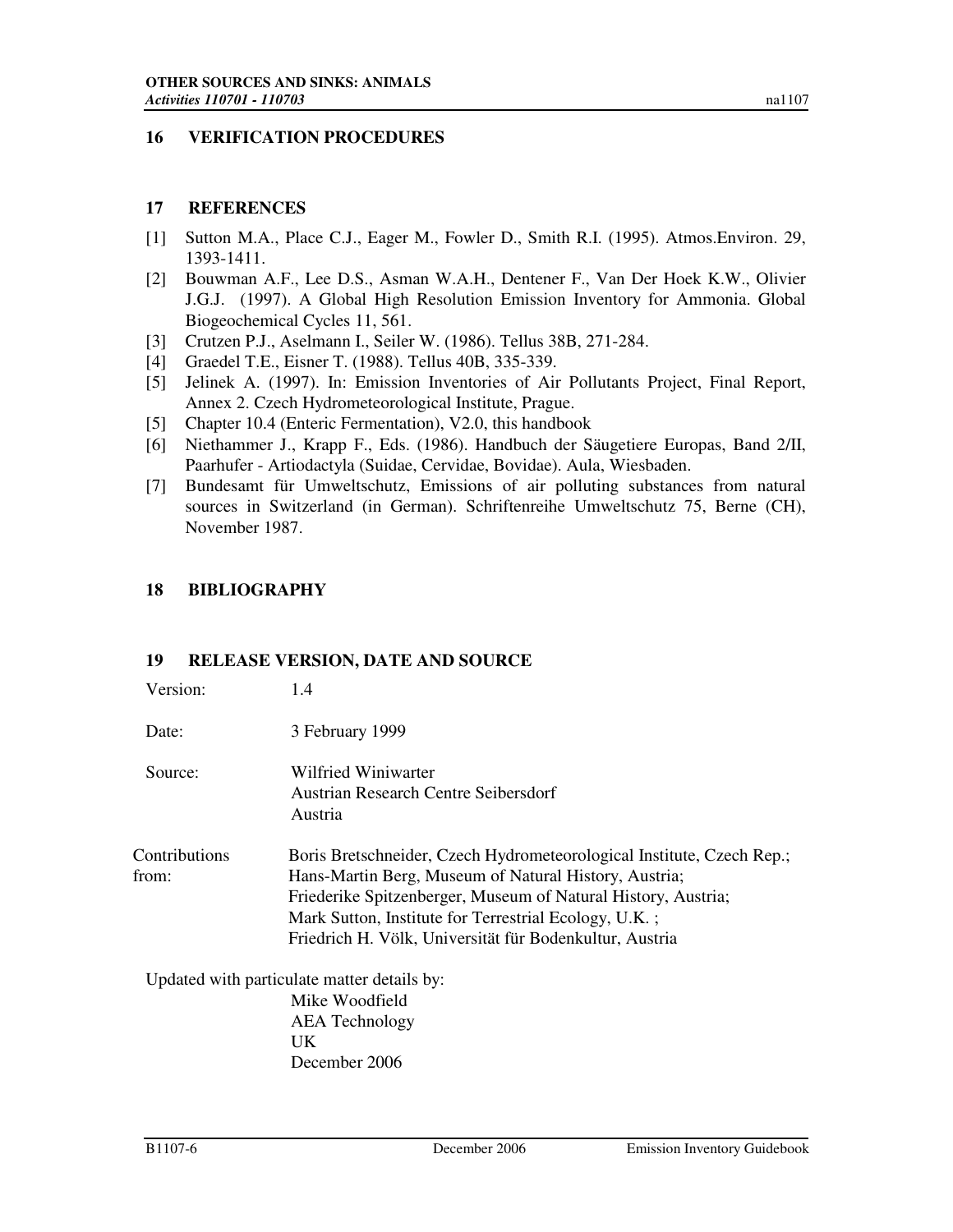### **16 VERIFICATION PROCEDURES**

#### **17 REFERENCES**

- [1] Sutton M.A., Place C.J., Eager M., Fowler D., Smith R.I. (1995). Atmos.Environ. 29, 1393-1411.
- [2] Bouwman A.F., Lee D.S., Asman W.A.H., Dentener F., Van Der Hoek K.W., Olivier J.G.J. (1997). A Global High Resolution Emission Inventory for Ammonia. Global Biogeochemical Cycles 11, 561.
- [3] Crutzen P.J., Aselmann I., Seiler W. (1986). Tellus 38B, 271-284.
- [4] Graedel T.E., Eisner T. (1988). Tellus 40B, 335-339.
- [5] Jelinek A. (1997). In: Emission Inventories of Air Pollutants Project, Final Report, Annex 2. Czech Hydrometeorological Institute, Prague.
- [5] Chapter 10.4 (Enteric Fermentation), V2.0, this handbook
- [6] Niethammer J., Krapp F., Eds. (1986). Handbuch der Säugetiere Europas, Band 2/II, Paarhufer - Artiodactyla (Suidae, Cervidae, Bovidae). Aula, Wiesbaden.
- [7] Bundesamt für Umweltschutz, Emissions of air polluting substances from natural sources in Switzerland (in German). Schriftenreihe Umweltschutz 75, Berne (CH), November 1987.

### **18 BIBLIOGRAPHY**

#### **19 RELEASE VERSION, DATE AND SOURCE**

| Version: | 1.4 |
|----------|-----|
|----------|-----|

Date: 3 February 1999

Source: Wilfried Winiwarter Austrian Research Centre Seibersdorf Austria

Contributions from: Boris Bretschneider, Czech Hydrometeorological Institute, Czech Rep.; Hans-Martin Berg, Museum of Natural History, Austria; Friederike Spitzenberger, Museum of Natural History, Austria; Mark Sutton, Institute for Terrestrial Ecology, U.K. ; Friedrich H. Völk, Universität für Bodenkultur, Austria

Updated with particulate matter details by: Mike Woodfield AEA Technology UK December 2006